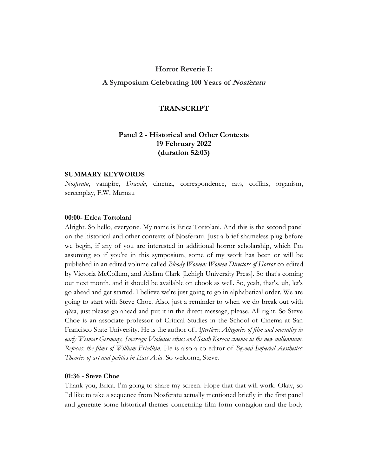### **Horror Reverie I:**

# **A Symposium Celebrating 100 Years of Nosferatu**

### **TRANSCRIPT**

# **Panel 2 - Historical and Other Contexts 19 February 2022 (duration 52:03)**

#### **SUMMARY KEYWORDS**

*Nosferatu*, vampire, *Dracula*, cinema, correspondence, rats, coffins, organism, screenplay, F.W. Murnau

# **00:00- Erica Tortolani**

Alright. So hello, everyone. My name is Erica Tortolani. And this is the second panel on the historical and other contexts of Nosferatu. Just a brief shameless plug before we begin, if any of you are interested in additional horror scholarship, which I'm assuming so if you're in this symposium, some of my work has been or will be published in an edited volume called *Bloody Women: Women Directors of Horror* co-edited by Victoria McCollum, and Aislinn Clark [Lehigh University Press]. So that's coming out next month, and it should be available on ebook as well. So, yeah, that's, uh, let's go ahead and get started. I believe we're just going to go in alphabetical order. We are going to start with Steve Choe. Also, just a reminder to when we do break out with q&a, just please go ahead and put it in the direct message, please. All right. So Steve Choe is an associate professor of Critical Studies in the School of Cinema at San Francisco State University. He is the author of *Afterlives: Allegories of film and mortality in early Weimar Germany, Sovereign Violence: ethics and South Korean cinema in the new millennium, Refocus: the films of William Friedkin.* He is also a co editor of *Beyond Imperial Aesthetics: Theories of art and politics in East Asia*. So welcome, Steve.

# **01:36 - Steve Choe**

Thank you, Erica. I'm going to share my screen. Hope that that will work. Okay, so I'd like to take a sequence from Nosferatu actually mentioned briefly in the first panel and generate some historical themes concerning film form contagion and the body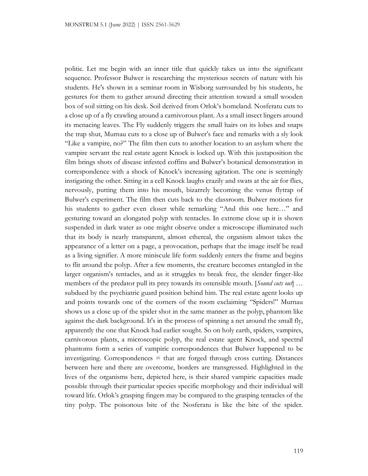politic. Let me begin with an inner title that quickly takes us into the significant sequence. Professor Bulwer is researching the mysterious secrets of nature with his students. He's shown in a seminar room in Wisborg surrounded by his students, he gestures for them to gather around directing their attention toward a small wooden box of soil sitting on his desk. Soil derived from Orlok's homeland. Nosferatu cuts to a close up of a fly crawling around a carnivorous plant. As a small insect lingers around its menacing leaves. The Fly suddenly triggers the small hairs on its lobes and snaps the trap shut, Murnau cuts to a close up of Bulwer's face and remarks with a sly look "Like a vampire, no?" The film then cuts to another location to an asylum where the vampire servant the real estate agent Knock is locked up. With this juxtaposition the film brings shots of disease infested coffins and Bulwer's botanical demonstration in correspondence with a shock of Knock's increasing agitation. The one is seemingly instigating the other. Sitting in a cell Knock laughs crazily and swats at the air for flies, nervously, putting them into his mouth, bizarrely becoming the venus flytrap of Bulwer's experiment. The film then cuts back to the classroom. Bulwer motions for his students to gather even closer while remarking "And this one here…" and gesturing toward an elongated polyp with tentacles. In extreme close up it is shown suspended in dark water as one might observe under a microscope illuminated such that its body is nearly transparent, almost ethereal, the organism almost takes the appearance of a letter on a page, a provocation, perhaps that the image itself be read as a living signifier. A more miniscule life form suddenly enters the frame and begins to flit around the polyp. After a few moments, the creature becomes entangled in the larger organism's tentacles, and as it struggles to break free, the slender finger-like members of the predator pull its prey towards its ostensible mouth. [*Sound cuts out*] … subdued by the psychiatric guard position behind him. The real estate agent looks up and points towards one of the corners of the room exclaiming "Spiders!" Murnau shows us a close up of the spider shot in the same manner as the polyp, phantom like against the dark background. It's in the process of spinning a net around the small fly, apparently the one that Knock had earlier sought. So on holy earth, spiders, vampires, carnivorous plants, a microscopic polyp, the real estate agent Knock, and spectral phantoms form a series of vampiric correspondences that Bulwer happened to be investigating. Correspondences = that are forged through cross cutting. Distances between here and there are overcome, borders are transgressed. Highlighted in the lives of the organisms here, depicted here, is their shared vampiric capacities made possible through their particular species specific morphology and their individual will toward life. Orlok's grasping fingers may be compared to the grasping tentacles of the tiny polyp. The poisonous bite of the Nosferatu is like the bite of the spider.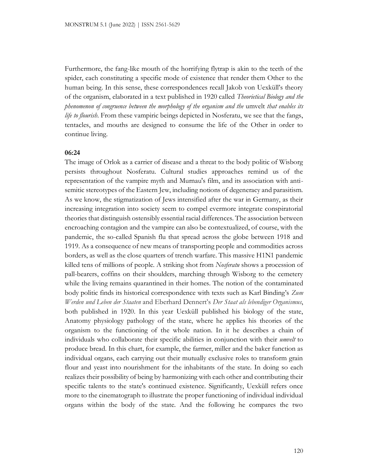Furthermore, the fang-like mouth of the horrifying flytrap is akin to the teeth of the spider, each constituting a specific mode of existence that render them Other to the human being. In this sense, these correspondences recall Jakob von Uexküll's theory of the organism, elaborated in a text published in 1920 called *Theorietical Biology and the phenomenon of congruence between the morphology of the organism and the* umvelt *that enables its life to flourish*. From these vampiric beings depicted in Nosferatu, we see that the fangs, tentacles, and mouths are designed to consume the life of the Other in order to continue living.

### **06:24**

The image of Orlok as a carrier of disease and a threat to the body politic of Wisborg persists throughout Nosferatu. Cultural studies approaches remind us of the representation of the vampire myth and Murnau's film, and its association with antisemitic stereotypes of the Eastern Jew, including notions of degeneracy and parasitism. As we know, the stigmatization of Jews intensified after the war in Germany, as their increasing integration into society seem to compel evermore integrate conspiratorial theories that distinguish ostensibly essential racial differences. The association between encroaching contagion and the vampire can also be contextualized, of course, with the pandemic, the so-called Spanish flu that spread across the globe between 1918 and 1919. As a consequence of new means of transporting people and commodities across borders, as well as the close quarters of trench warfare. This massive H1N1 pandemic killed tens of millions of people. A striking shot from *Nosferatu* shows a procession of pall-bearers, coffins on their shoulders, marching through Wisborg to the cemetery while the living remains quarantined in their homes. The notion of the contaminated body politic finds its historical correspondence with texts such as Karl Binding's *Zum Werden und Leben der Staaten* and Eberhard Dennert's *Der Staat als lebendiger Organismus*, both published in 1920. In this year Uexküll published his biology of the state, Anatomy physiology pathology of the state, where he applies his theories of the organism to the functioning of the whole nation. In it he describes a chain of individuals who collaborate their specific abilities in conjunction with their *umvelt* to produce bread. In this chart, for example, the farmer, miller and the baker function as individual organs, each carrying out their mutually exclusive roles to transform grain flour and yeast into nourishment for the inhabitants of the state. In doing so each realizes their possibility of being by harmonizing with each other and contributing their specific talents to the state's continued existence. Significantly, Uexküll refers once more to the cinematograph to illustrate the proper functioning of individual individual organs within the body of the state. And the following he compares the two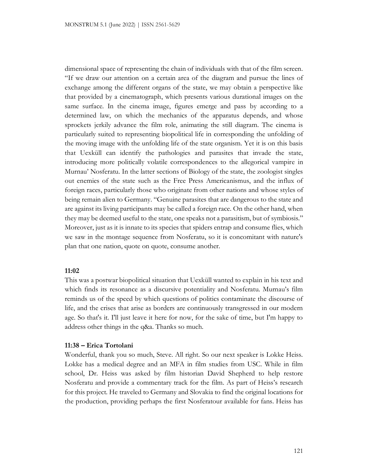dimensional space of representing the chain of individuals with that of the film screen. "If we draw our attention on a certain area of the diagram and pursue the lines of exchange among the different organs of the state, we may obtain a perspective like that provided by a cinematograph, which presents various durational images on the same surface. In the cinema image, figures emerge and pass by according to a determined law, on which the mechanics of the apparatus depends, and whose sprockets jerkily advance the film role, animating the still diagram. The cinema is particularly suited to representing biopolitical life in corresponding the unfolding of the moving image with the unfolding life of the state organism. Yet it is on this basis that Uexküll can identify the pathologies and parasites that invade the state, introducing more politically volatile correspondences to the allegorical vampire in Murnau' Nosferatu. In the latter sections of Biology of the state, the zoologist singles out enemies of the state such as the Free Press Americanismus, and the influx of foreign races, particularly those who originate from other nations and whose styles of being remain alien to Germany. "Genuine parasites that are dangerous to the state and are against its living participants may be called a foreign race. On the other hand, when they may be deemed useful to the state, one speaks not a parasitism, but of symbiosis." Moreover, just as it is innate to its species that spiders entrap and consume flies, which we saw in the montage sequence from Nosferatu, so it is concomitant with nature's plan that one nation, quote on quote, consume another.

## **11:02**

This was a postwar biopolitical situation that Uexküll wanted to explain in his text and which finds its resonance as a discursive potentiality and Nosferatu. Murnau's film reminds us of the speed by which questions of politics contaminate the discourse of life, and the crises that arise as borders are continuously transgressed in our modern age. So that's it. I'll just leave it here for now, for the sake of time, but I'm happy to address other things in the q&a. Thanks so much.

# **11:38 – Erica Tortolani**

Wonderful, thank you so much, Steve. All right. So our next speaker is Lokke Heiss. Lokke has a medical degree and an MFA in film studies from USC. While in film school, Dr. Heiss was asked by film historian David Shepherd to help restore Nosferatu and provide a commentary track for the film. As part of Heiss's research for this project. He traveled to Germany and Slovakia to find the original locations for the production, providing perhaps the first Nosferatour available for fans. Heiss has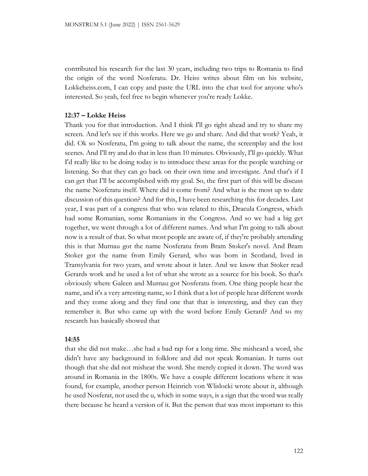contributed his research for the last 30 years, including two trips to Romania to find the origin of the word Nosferatu. Dr. Heiss writes about film on his website, Lokkeheiss.com, I can copy and paste the URL into the chat tool for anyone who's interested. So yeah, feel free to begin whenever you're ready Lokke.

### **12:37 – Lokke Heiss**

Thank you for that introduction. And I think I'll go right ahead and try to share my screen. And let's see if this works. Here we go and share. And did that work? Yeah, it did. Ok so Nosferatu, I'm going to talk about the name, the screenplay and the lost scenes. And I'll try and do that in less than 10 minutes. Obviously, I'll go quickly. What I'd really like to be doing today is to introduce these areas for the people watching or listening. So that they can go back on their own time and investigate. And that's if I can get that I'll be accomplished with my goal. So, the first part of this will be discuss the name Nosferatu itself. Where did it come from? And what is the most up to date discussion of this question? And for this, I have been researching this for decades. Last year, I was part of a congress that who was related to this, Dracula Congress, which had some Romanian, some Romanians in the Congress. And so we had a big get together, we went through a lot of different names. And what I'm going to talk about now is a result of that. So what most people are aware of, if they're probably attending this is that Murnau got the name Nosferatu from Bram Stoker's novel. And Bram Stoker got the name from Emily Gerard, who was born in Scotland, lived in Transylvania for two years, and wrote about it later. And we know that Stoker read Gerards work and he used a lot of what she wrote as a source for his book. So that's obviously where Galeen and Murnau got Nosferatu from. One thing people hear the name, and it's a very arresting name, so I think that a lot of people hear different words and they come along and they find one that that is interesting, and they can they remember it. But who came up with the word before Emily Gerard? And so my research has basically showed that

#### **14:55**

that she did not make…she had a bad rap for a long time. She misheard a word, she didn't have any background in folklore and did not speak Romanian. It turns out though that she did not mishear the word. She merely copied it down. The word was around in Romania in the 1800s. We have a couple different locations where it was found, for example, another person Heinrich von Wlislocki wrote about it, although he used Nosferat, not used the u, which in some ways, is a sign that the word was really there because he heard a version of it. But the person that was most important to this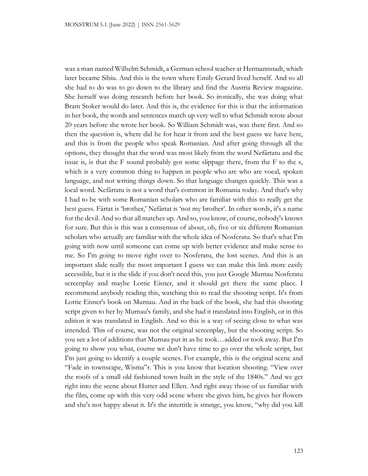was a man named Wilhelm Schmidt, a German school teacher at Hermannstadt, which later became Sibiu. And this is the town where Emily Gerard lived herself. And so all she had to do was to go down to the library and find the Austria Review magazine. She herself was doing research before her book. So ironically, she was doing what Bram Stoker would do later. And this is, the evidence for this is that the information in her book, the words and sentences match up very well to what Schmidt wrote about 20 years before she wrote her book. So William Schmidt was, was there first. And so then the question is, where did he for hear it from and the best guess we have here, and this is from the people who speak Romanian. And after going through all the options, they thought that the word was most likely from the word Nefârtatu and the issue is, is that the F sound probably got some slippage there, from the F to the s, which is a very common thing to happen in people who are who are vocal, spoken language, and not writing things down. So that language changes quickly. This was a local word. Nefârtatu is not a word that's common in Romania today. And that's why I had to be with some Romanian scholars who are familiar with this to really get the best guess. Fârtat is 'brother,' Nefârtat is 'not my brother'. In other words, it's a name for the devil. And so that all matches up. And so, you know, of course, nobody's knows for sure. But this is this was a consensus of about, oh, five or six different Romanian scholars who actually are familiar with the whole idea of Nosferatu. So that's what I'm going with now until someone can come up with better evidence and make sense to me. So I'm going to move right over to Nosferatu, the lost scenes. And this is an important slide really the most important I guess we can make this link more easily accessible, but it is the slide if you don't need this, you just Google Murnau Nosferatu screenplay and maybe Lottie Eisner, and it should get there the same place. I recommend anybody reading this, watching this to read the shooting script. It's from Lottie Eisner's book on Murnau. And in the back of the book, she had this shooting script given to her by Murnau's family, and she had it translated into English, or in this edition it was translated in English. And so this is a way of seeing close to what was intended. This of course, was not the original screenplay, but the shooting script. So you see a lot of additions that Murnau put in as he took…added or took away. But I'm going to show you what, course we don't have time to go over the whole script, but I'm just going to identify a couple scenes. For example, this is the original scene and "Fade in townscape, Wisma"r. This is you know that location shooting. "View over the roofs of a small old fashioned town built in the style of the 1840s." And we get right into the scene about Hutter and Ellen. And right away those of us familiar with the film, come up with this very odd scene where she gives him, he gives her flowers and she's not happy about it. It's the intertitle is strange, you know, "why did you kill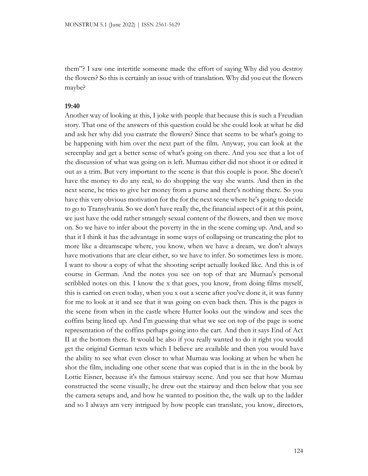them"? I saw one intertitle someone made the effort of saying Why did you destroy the flowers? So this is certainly an issue with of translation. Why did you cut the flowers maybe?

#### **19:40**

Another way of looking at this, I joke with people that because this is such a Freudian story. That one of the answers of this question could be she could look at what he did and ask her why did you castrate the flowers? Since that seems to be what's going to be happening with him over the next part of the film. Anyway, you can look at the screenplay and get a better sense of what's going on there. And you see that a lot of the discussion of what was going on is left. Murnau either did not shoot it or edited it out as a trim. But very important to the scene is that this couple is poor. She doesn't have the money to do any real, to do shopping the way she wants. And then in the next scene, he tries to give her money from a purse and there's nothing there. So you have this very obvious motivation for the for the next scene where he's going to decide to go to Transylvania. So we don't have really the, the financial aspect of it at this point, we just have the odd rather strangely sexual content of the flowers, and then we move on. So we have to infer about the poverty in the in the scene coming up. And, and so that it I think it has the advantage in some ways of collapsing or truncating the plot to more like a dreamscape where, you know, when we have a dream, we don't always have motivations that are clear either, so we have to infer. So sometimes less is more. I want to show a copy of what the shooting script actually looked like. And this is of course in German. And the notes you see on top of that are Murnau's personal scribbled notes on this. I know the x that goes, you know, from doing films myself, this is carried on even today, when you x out a scene after you've done it, it was funny for me to look at it and see that it was going on even back then. This is the pages is the scene from when in the castle where Hutter looks out the window and sees the coffins being lined up. And I'm guessing that what we see on top of the page is some representation of the coffins perhaps going into the cart. And then it says End of Act II at the bottom there. It would be also if you really wanted to do it right you would get the original German texts which I believe are available and then you would have the ability to see what even closer to what Murnau was looking at when he when he shot the film, including one other scene that was copied that is in the in the book by Lottie Eisner, because it's the famous stairway scene. And you see that how Murnau constructed the scene visually, he drew out the stairway and then below that you see the camera setups and, and how he wanted to position the, the walk up to the ladder and so I always am very intrigued by how people can translate, you know, directors,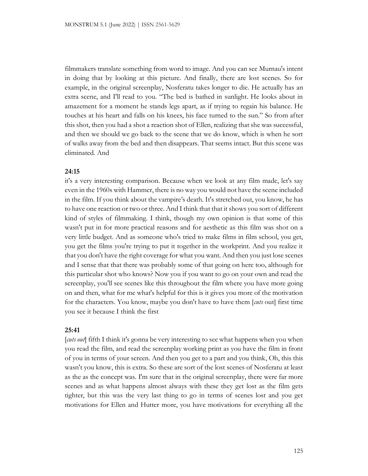filmmakers translate something from word to image. And you can see Murnau's intent in doing that by looking at this picture. And finally, there are lost scenes. So for example, in the original screenplay, Nosferatu takes longer to die. He actually has an extra scene, and I'll read to you. "The bed is bathed in sunlight. He looks about in amazement for a moment he stands legs apart, as if trying to regain his balance. He touches at his heart and falls on his knees, his face turned to the sun." So from after this shot, then you had a shot a reaction shot of Ellen, realizing that she was successful, and then we should we go back to the scene that we do know, which is when he sort of walks away from the bed and then disappears. That seems intact. But this scene was eliminated. And

### **24:15**

it's a very interesting comparison. Because when we look at any film made, let's say even in the 1960s with Hammer, there is no way you would not have the scene included in the film. If you think about the vampire's death. It's stretched out, you know, he has to have one reaction or two or three. And I think that that it shows you sort of different kind of styles of filmmaking. I think, though my own opinion is that some of this wasn't put in for more practical reasons and for aesthetic as this film was shot on a very little budget. And as someone who's tried to make films in film school, you get, you get the films you're trying to put it together in the workprint. And you realize it that you don't have the right coverage for what you want. And then you just lose scenes and I sense that that there was probably some of that going on here too, although for this particular shot who knows? Now you if you want to go on your own and read the screenplay, you'll see scenes like this throughout the film where you have more going on and then, what for me what's helpful for this is it gives you more of the motivation for the characters. You know, maybe you don't have to have them [*cuts* out] first time you see it because I think the first

#### **25:41**

[*cuts out*] fifth I think it's gonna be very interesting to see what happens when you when you read the film, and read the screenplay working print as you have the film in front of you in terms of your screen. And then you get to a part and you think, Oh, this this wasn't you know, this is extra. So these are sort of the lost scenes of Nosferatu at least as the as the concept was. I'm sure that in the original screenplay, there were far more scenes and as what happens almost always with these they get lost as the film gets tighter, but this was the very last thing to go in terms of scenes lost and you get motivations for Ellen and Hutter more, you have motivations for everything all the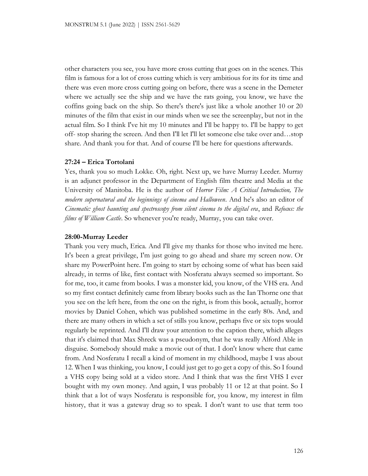other characters you see, you have more cross cutting that goes on in the scenes. This film is famous for a lot of cross cutting which is very ambitious for its for its time and there was even more cross cutting going on before, there was a scene in the Demeter where we actually see the ship and we have the rats going, you know, we have the coffins going back on the ship. So there's there's just like a whole another 10 or 20 minutes of the film that exist in our minds when we see the screenplay, but not in the actual film. So I think I've hit my 10 minutes and I'll be happy to. I'll be happy to get off- stop sharing the screen. And then I'll let I'll let someone else take over and…stop share. And thank you for that. And of course I'll be here for questions afterwards.

# **27:24 – Erica Tortolani**

Yes, thank you so much Lokke. Oh, right. Next up, we have Murray Leeder. Murray is an adjunct professor in the Department of English film theatre and Media at the University of Manitoba. He is the author of *Horror Film: A Critical Introduction, The modern supernatural and the beginnings of cinema and Halloween*. And he's also an editor of *Cinematic: ghost haunting and spectroscopy from silent cinema to the digital era*, and *Refocus: the films of William Castle*. So whenever you're ready, Murray, you can take over.

# **28:00-Murray Leeder**

Thank you very much, Erica. And I'll give my thanks for those who invited me here. It's been a great privilege, I'm just going to go ahead and share my screen now. Or share my PowerPoint here. I'm going to start by echoing some of what has been said already, in terms of like, first contact with Nosferatu always seemed so important. So for me, too, it came from books. I was a monster kid, you know, of the VHS era. And so my first contact definitely came from library books such as the Ian Thorne one that you see on the left here, from the one on the right, is from this book, actually, horror movies by Daniel Cohen, which was published sometime in the early 80s. And, and there are many others in which a set of stills you know, perhaps five or six tops would regularly be reprinted. And I'll draw your attention to the caption there, which alleges that it's claimed that Max Shreck was a pseudonym, that he was really Alford Able in disguise. Somebody should make a movie out of that. I don't know where that came from. And Nosferatu I recall a kind of moment in my childhood, maybe I was about 12. When I was thinking, you know, I could just get to go get a copy of this. So I found a VHS copy being sold at a video store. And I think that was the first VHS I ever bought with my own money. And again, I was probably 11 or 12 at that point. So I think that a lot of ways Nosferatu is responsible for, you know, my interest in film history, that it was a gateway drug so to speak. I don't want to use that term too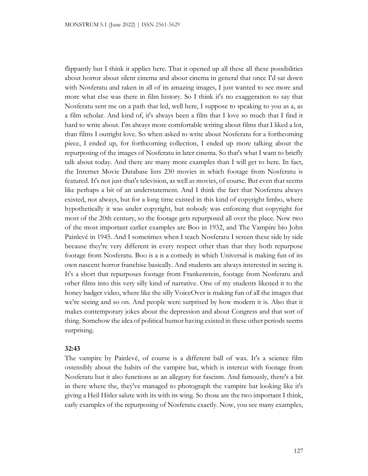flippantly but I think it applies here. That it opened up all these all these possibilities about horror about silent cinema and about cinema in general that once I'd sat down with Nosferatu and taken in all of its amazing images, I just wanted to see more and more what else was there in film history. So I think it's no exaggeration to say that Nosferatu sent me on a path that led, well here, I suppose to speaking to you as a, as a film scholar. And kind of, it's always been a film that I love so much that I find it hard to write about. I'm always more comfortable writing about films that I liked a lot, than films I outright love. So when asked to write about Nosferatu for a forthcoming piece, I ended up, for forthcoming collection, I ended up more talking about the repurposing of the images of Nosferatu in later cinema. So that's what I want to briefly talk about today. And there are many more examples than I will get to here. In fact, the Internet Movie Database lists 230 movies in which footage from Nosferatu is featured. It's not just-that's television, as well as movies, of course. But even that seems like perhaps a bit of an understatement. And I think the fact that Nosferatu always existed, not always, but for a long time existed in this kind of copyright limbo, where hypothetically it was under copyright, but nobody was enforcing that copyright for most of the 20th century, so the footage gets repurposed all over the place. Now two of the most important earlier examples are Boo in 1932, and The Vampire bio John Painlevé in 1945. And I sometimes when I teach Nosferatu I screen these side by side because they're very different in every respect other than that they both repurpose footage from Nosferatu. Boo is a is a comedy in which Universal is making fun of its own nascent horror franchise basically. And students are always interested in seeing it. It's a short that repurposes footage from Frankenstein, footage from Nosferatu and other films into this very silly kind of narrative. One of my students likened it to the honey badger video, where like the silly VoiceOver is making fun of all the images that we're seeing and so on. And people were surprised by how modern it is. Also that it makes contemporary jokes about the depression and about Congress and that sort of thing. Somehow the idea of political humor having existed in these other periods seems surprising.

### **32:43**

The vampire by Painlevé, of course is a different ball of wax. It's a science film ostensibly about the habits of the vampire bat, which is intercut with footage from Nosferatu but it also functions as an allegory for fascism. And famously, there's a bit in there where the, they've managed to photograph the vampire bat looking like it's giving a Heil Hitler salute with its with its wing. So those are the two important I think, early examples of the repurposing of Nosferatu exactly. Now, you see many examples,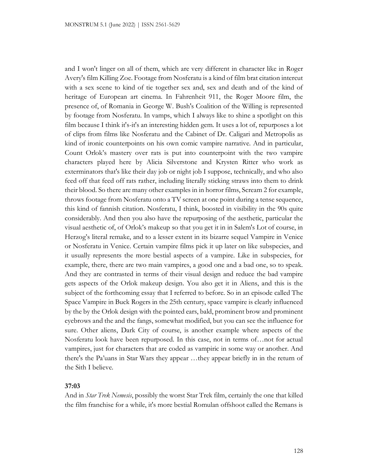and I won't linger on all of them, which are very different in character like in Roger Avery's film Killing Zoe. Footage from Nosferatu is a kind of film brat citation intercut with a sex scene to kind of tie together sex and, sex and death and of the kind of heritage of European art cinema. In Fahrenheit 911, the Roger Moore film, the presence of, of Romania in George W. Bush's Coalition of the Willing is represented by footage from Nosferatu. In vamps, which I always like to shine a spotlight on this film because I think it's-it's an interesting hidden gem. It uses a lot of, repurposes a lot of clips from films like Nosferatu and the Cabinet of Dr. Caligari and Metropolis as kind of ironic counterpoints on his own comic vampire narrative. And in particular, Count Orlok's mastery over rats is put into counterpoint with the two vampire characters played here by Alicia Silverstone and Krysten Ritter who work as exterminators that's like their day job or night job I suppose, technically, and who also feed off that feed off rats rather, including literally sticking straws into them to drink their blood. So there are many other examples in in horror films, Scream 2 for example, throws footage from Nosferatu onto a TV screen at one point during a tense sequence, this kind of fannish citation. Nosferatu, I think, boosted in visibility in the 90s quite considerably. And then you also have the repurposing of the aesthetic, particular the visual aesthetic of, of Orlok's makeup so that you get it in in Salem's Lot of course, in Herzog's literal remake, and to a lesser extent in its bizarre sequel Vampire in Venice or Nosferatu in Venice. Certain vampire films pick it up later on like subspecies, and it usually represents the more bestial aspects of a vampire. Like in subspecies, for example, there, there are two main vampires, a good one and a bad one, so to speak. And they are contrasted in terms of their visual design and reduce the bad vampire gets aspects of the Orlok makeup design. You also get it in Aliens, and this is the subject of the forthcoming essay that I referred to before. So in an episode called The Space Vampire in Buck Rogers in the 25th century, space vampire is clearly influenced by the by the Orlok design with the pointed ears, bald, prominent brow and prominent eyebrows and the and the fangs, somewhat modified, but you can see the influence for sure. Other aliens, Dark City of course, is another example where aspects of the Nosferatu look have been repurposed. In this case, not in terms of…not for actual vampires, just for characters that are coded as vampiric in some way or another. And there's the Pa'uans in Star Wars they appear …they appear briefly in in the return of the Sith I believe.

### **37:03**

And in *Star Trek Nemesis*, possibly the worst Star Trek film, certainly the one that killed the film franchise for a while, it's more bestial Romulan offshoot called the Remans is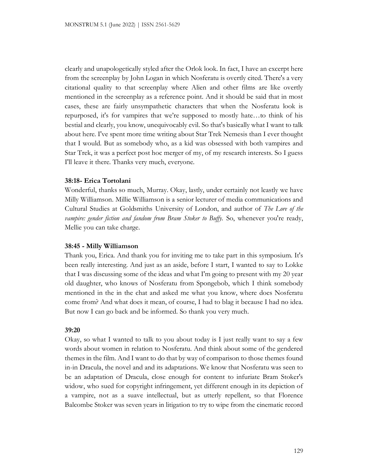clearly and unapologetically styled after the Orlok look. In fact, I have an excerpt here from the screenplay by John Logan in which Nosferatu is overtly cited. There's a very citational quality to that screenplay where Alien and other films are like overtly mentioned in the screenplay as a reference point. And it should be said that in most cases, these are fairly unsympathetic characters that when the Nosferatu look is repurposed, it's for vampires that we're supposed to mostly hate…to think of his bestial and clearly, you know, unequivocably evil. So that's basically what I want to talk about here. I've spent more time writing about Star Trek Nemesis than I ever thought that I would. But as somebody who, as a kid was obsessed with both vampires and Star Trek, it was a perfect post hoc merger of my, of my research interests. So I guess I'll leave it there. Thanks very much, everyone.

### **38:18- Erica Tortolani**

Wonderful, thanks so much, Murray. Okay, lastly, under certainly not leastly we have Milly Williamson. Millie Williamson is a senior lecturer of media communications and Cultural Studies at Goldsmiths University of London, and author of *The Lore of the vampire: gender fiction and fandom from Bram Stoker to Buffy.* So, whenever you're ready, Mellie you can take charge.

#### **38:45 - Milly Williamson**

Thank you, Erica. And thank you for inviting me to take part in this symposium. It's been really interesting. And just as an aside, before I start, I wanted to say to Lokke that I was discussing some of the ideas and what I'm going to present with my 20 year old daughter, who knows of Nosferatu from Spongebob, which I think somebody mentioned in the in the chat and asked me what you know, where does Nosferatu come from? And what does it mean, of course, I had to blag it because I had no idea. But now I can go back and be informed. So thank you very much.

#### **39:20**

Okay, so what I wanted to talk to you about today is I just really want to say a few words about women in relation to Nosferatu. And think about some of the gendered themes in the film. And I want to do that by way of comparison to those themes found in-in Dracula, the novel and and its adaptations. We know that Nosferatu was seen to be an adaptation of Dracula, close enough for content to infuriate Bram Stoker's widow, who sued for copyright infringement, yet different enough in its depiction of a vampire, not as a suave intellectual, but as utterly repellent, so that Florence Balcombe Stoker was seven years in litigation to try to wipe from the cinematic record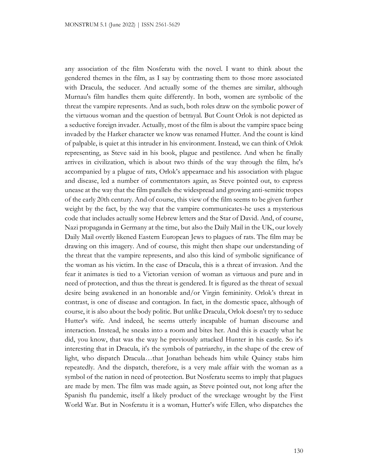any association of the film Nosferatu with the novel. I want to think about the gendered themes in the film, as I say by contrasting them to those more associated with Dracula, the seducer. And actually some of the themes are similar, although Murnau's film handles them quite differently. In both, women are symbolic of the threat the vampire represents. And as such, both roles draw on the symbolic power of the virtuous woman and the question of betrayal. But Count Orlok is not depicted as a seductive foreign invader. Actually, most of the film is about the vampire space being invaded by the Harker character we know was renamed Hutter. And the count is kind of palpable, is quiet at this intruder in his environment. Instead, we can think of Orlok representing, as Steve said in his book, plague and pestilence. And when he finally arrives in civilization, which is about two thirds of the way through the film, he's accompanied by a plague of rats, Orlok's appearnace and his association with plague and disease, led a number of commentators again, as Steve pointed out, to express unease at the way that the film parallels the widespread and growing anti-semitic tropes of the early 20th century. And of course, this view of the film seems to be given further weight by the fact, by the way that the vampire communicates-he uses a mysterious code that includes actually some Hebrew letters and the Star of David. And, of course, Nazi propaganda in Germany at the time, but also the Daily Mail in the UK, our lovely Daily Mail overtly likened Eastern European Jews to plagues of rats. The film may be drawing on this imagery. And of course, this might then shape our understanding of the threat that the vampire represents, and also this kind of symbolic significance of the woman as his victim. In the case of Dracula, this is a threat of invasion. And the fear it animates is tied to a Victorian version of woman as virtuous and pure and in need of protection, and thus the threat is gendered. It is figured as the threat of sexual desire being awakened in an honorable and/or Virgin femininity. Orlok's threat in contrast, is one of disease and contagion. In fact, in the domestic space, although of course, it is also about the body politic. But unlike Dracula, Orlok doesn't try to seduce Hutter's wife. And indeed, he seems utterly incapable of human discourse and interaction. Instead, he sneaks into a room and bites her. And this is exactly what he did, you know, that was the way he previously attacked Hunter in his castle. So it's interesting that in Dracula, it's the symbols of patriarchy, in the shape of the crew of light, who dispatch Dracula…that Jonathan beheads him while Quincy stabs him repeatedly. And the dispatch, therefore, is a very male affair with the woman as a symbol of the nation in need of protection. But Nosferatu seems to imply that plagues are made by men. The film was made again, as Steve pointed out, not long after the Spanish flu pandemic, itself a likely product of the wreckage wrought by the First World War. But in Nosferatu it is a woman, Hutter's wife Ellen, who dispatches the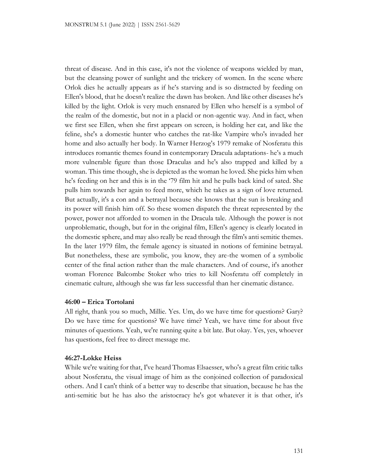threat of disease. And in this case, it's not the violence of weapons wielded by man, but the cleansing power of sunlight and the trickery of women. In the scene where Orlok dies he actually appears as if he's starving and is so distracted by feeding on Ellen's blood, that he doesn't realize the dawn has broken. And like other diseases he's killed by the light. Orlok is very much ensnared by Ellen who herself is a symbol of the realm of the domestic, but not in a placid or non-agentic way. And in fact, when we first see Ellen, when she first appears on screen, is holding her cat, and like the feline, she's a domestic hunter who catches the rat-like Vampire who's invaded her home and also actually her body. In Warner Herzog's 1979 remake of Nosferatu this introduces romantic themes found in contemporary Dracula adaptations- he's a much more vulnerable figure than those Draculas and he's also trapped and killed by a woman. This time though, she is depicted as the woman he loved. She picks him when he's feeding on her and this is in the '79 film hit and he pulls back kind of sated. She pulls him towards her again to feed more, which he takes as a sign of love returned. But actually, it's a con and a betrayal because she knows that the sun is breaking and its power will finish him off. So these women dispatch the threat represented by the power, power not afforded to women in the Dracula tale. Although the power is not unproblematic, though, but for in the original film, Ellen's agency is clearly located in the domestic sphere, and may also really be read through the film's anti semitic themes. In the later 1979 film, the female agency is situated in notions of feminine betrayal. But nonetheless, these are symbolic, you know, they are-the women of a symbolic center of the final action rather than the male characters. And of course, it's another woman Florence Balcombe Stoker who tries to kill Nosferatu off completely in cinematic culture, although she was far less successful than her cinematic distance.

# **46:00 – Erica Tortolani**

All right, thank you so much, Millie. Yes. Um, do we have time for questions? Gary? Do we have time for questions? We have time? Yeah, we have time for about five minutes of questions. Yeah, we're running quite a bit late. But okay. Yes, yes, whoever has questions, feel free to direct message me.

#### **46:27-Lokke Heiss**

While we're waiting for that, I've heard Thomas Elsaesser, who's a great film critic talks about Nosferatu, the visual image of him as the conjoined collection of paradoxical others. And I can't think of a better way to describe that situation, because he has the anti-semitic but he has also the aristocracy he's got whatever it is that other, it's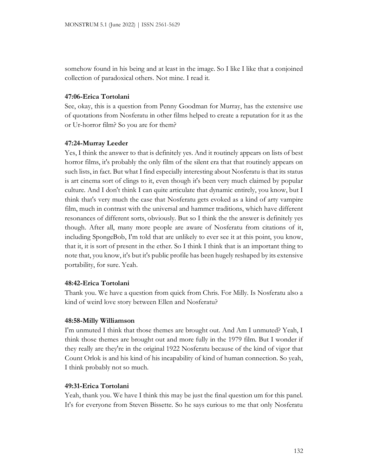somehow found in his being and at least in the image. So I like I like that a conjoined collection of paradoxical others. Not mine. I read it.

# **47:06-Erica Tortolani**

See, okay, this is a question from Penny Goodman for Murray, has the extensive use of quotations from Nosferatu in other films helped to create a reputation for it as the or Ur-horror film? So you are for them?

### **47:24-Murray Leeder**

Yes, I think the answer to that is definitely yes. And it routinely appears on lists of best horror films, it's probably the only film of the silent era that that routinely appears on such lists, in fact. But what I find especially interesting about Nosferatu is that its status is art cinema sort of clings to it, even though it's been very much claimed by popular culture. And I don't think I can quite articulate that dynamic entirely, you know, but I think that's very much the case that Nosferatu gets evoked as a kind of arty vampire film, much in contrast with the universal and hammer traditions, which have different resonances of different sorts, obviously. But so I think the the answer is definitely yes though. After all, many more people are aware of Nosferatu from citations of it, including SpongeBob, I'm told that are unlikely to ever see it at this point, you know, that it, it is sort of present in the ether. So I think I think that is an important thing to note that, you know, it's but it's public profile has been hugely reshaped by its extensive portability, for sure. Yeah.

#### **48:42-Erica Tortolani**

Thank you. We have a question from quick from Chris. For Milly. Is Nosferatu also a kind of weird love story between Ellen and Nosferatu?

#### **48:58-Milly Williamson**

I'm unmuted I think that those themes are brought out. And Am I unmuted? Yeah, I think those themes are brought out and more fully in the 1979 film. But I wonder if they really are they're in the original 1922 Nosferatu because of the kind of vigor that Count Orlok is and his kind of his incapability of kind of human connection. So yeah, I think probably not so much.

### **49:31-Erica Tortolani**

Yeah, thank you. We have I think this may be just the final question um for this panel. It's for everyone from Steven Bissette. So he says curious to me that only Nosferatu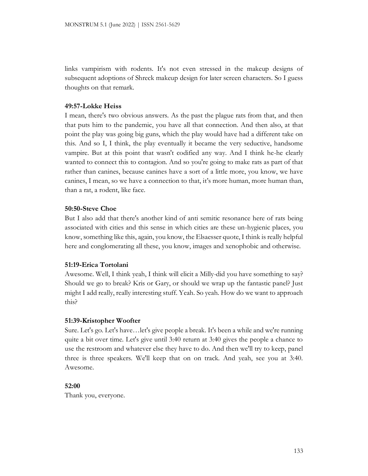links vampirism with rodents. It's not even stressed in the makeup designs of subsequent adoptions of Shreck makeup design for later screen characters. So I guess thoughts on that remark.

# **49:57-Lokke Heiss**

I mean, there's two obvious answers. As the past the plague rats from that, and then that puts him to the pandemic, you have all that connection. And then also, at that point the play was going big guns, which the play would have had a different take on this. And so I, I think, the play eventually it became the very seductive, handsome vampire. But at this point that wasn't codified any way. And I think he-he clearly wanted to connect this to contagion. And so you're going to make rats as part of that rather than canines, because canines have a sort of a little more, you know, we have canines, I mean, so we have a connection to that, it's more human, more human than, than a rat, a rodent, like face.

# **50:50-Steve Choe**

But I also add that there's another kind of anti semitic resonance here of rats being associated with cities and this sense in which cities are these un-hygienic places, you know, something like this, again, you know, the Elsaesser quote, I think is really helpful here and conglomerating all these, you know, images and xenophobic and otherwise.

# **51:19-Erica Tortolani**

Awesome. Well, I think yeah, I think will elicit a Milly-did you have something to say? Should we go to break? Kris or Gary, or should we wrap up the fantastic panel? Just might I add really, really interesting stuff. Yeah. So yeah. How do we want to approach this?

# **51:39-Kristopher Woofter**

Sure. Let's go. Let's have…let's give people a break. It's been a while and we're running quite a bit over time. Let's give until 3:40 return at 3:40 gives the people a chance to use the restroom and whatever else they have to do. And then we'll try to keep, panel three is three speakers. We'll keep that on on track. And yeah, see you at 3:40. Awesome.

# **52:00**

Thank you, everyone.